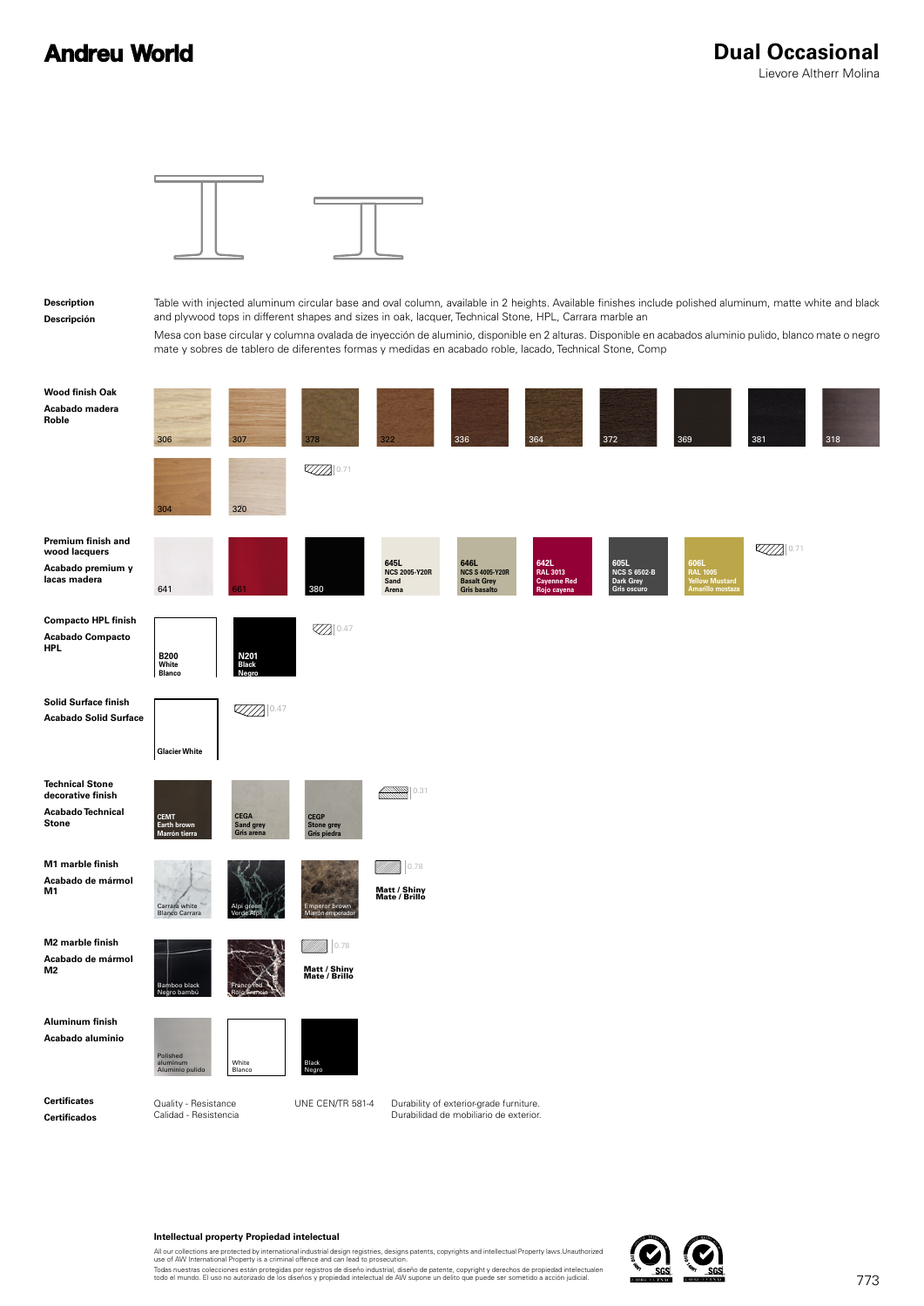## **Andreu World**



**Intellectual property Propiedad intelectual**

All our collections are protected by international industrial design registries, designs patents, copyrights and intellectual Property laws.Unauthorized<br>use of AW International Property is a criminal offence and can lead t

Todas nuestras colecciones están protegidas por registros de diseño industrial, diseño de patente, copyright y derechos de propiedad intelectualen<br>todo el mundo. El uso no autorizado de los diseños y propiedad intelectual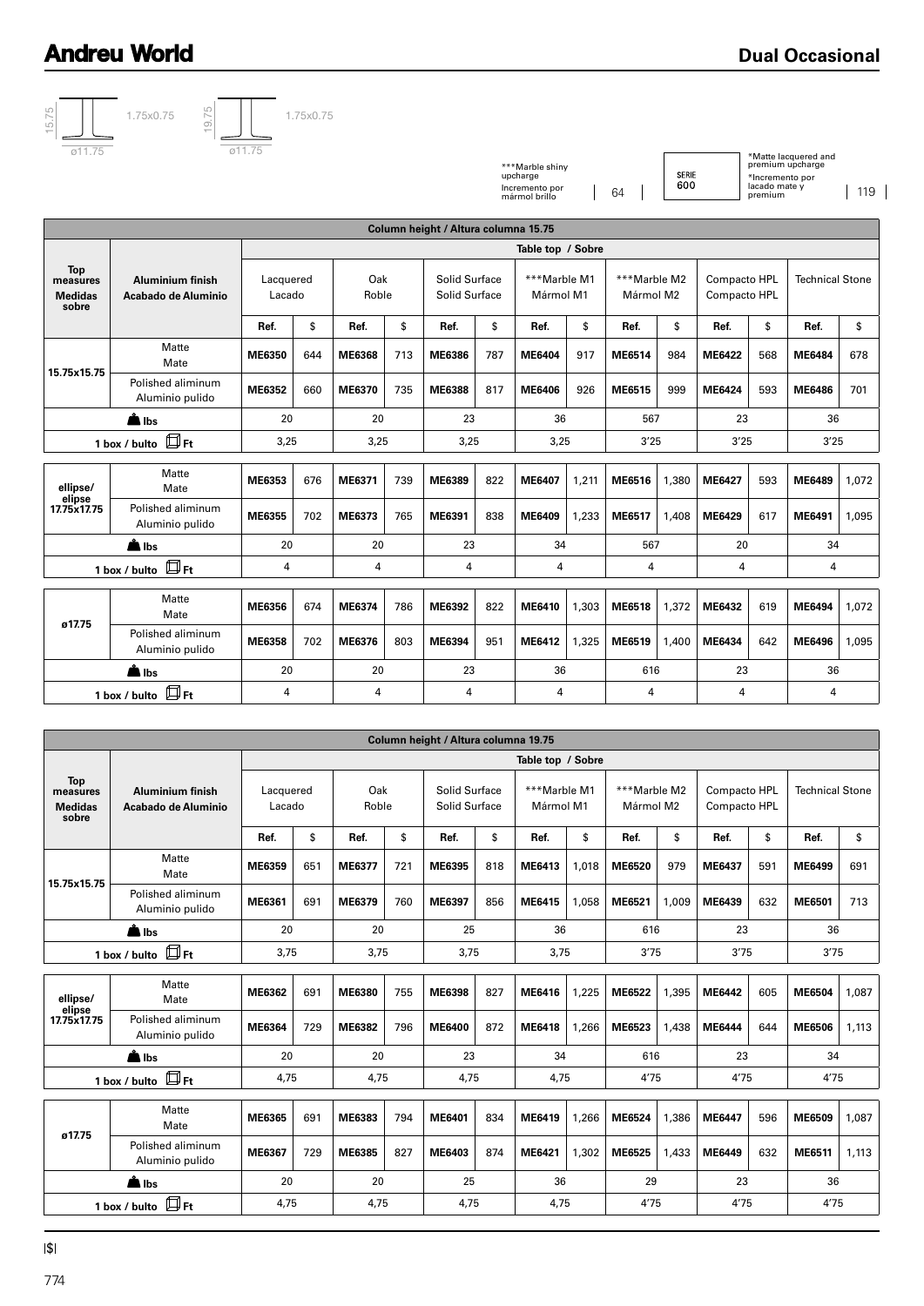## **Andreu World**



\*\*\*Marble shiny upcharge Incremento por mármol brillo 64 SERIE<br>600

\*Matte lacquered and premium upcharge

\*Incremento por lacado mate y premium 119

|                                                   |                                                |                     |              |              |      | Column height / Altura columna 15.75 |      |                           |       |                           |       |                              |      |                        |       |  |
|---------------------------------------------------|------------------------------------------------|---------------------|--------------|--------------|------|--------------------------------------|------|---------------------------|-------|---------------------------|-------|------------------------------|------|------------------------|-------|--|
|                                                   |                                                | Table top / Sobre   |              |              |      |                                      |      |                           |       |                           |       |                              |      |                        |       |  |
| <b>Top</b><br>measures<br><b>Medidas</b><br>sobre | <b>Aluminium finish</b><br>Acabado de Aluminio | Lacquered<br>Lacado |              | Oak<br>Roble |      | Solid Surface<br>Solid Surface       |      | ***Marble M1<br>Mármol M1 |       | ***Marble M2<br>Mármol M2 |       | Compacto HPL<br>Compacto HPL |      | <b>Technical Stone</b> |       |  |
|                                                   |                                                | Ref.                | \$           | Ref.         | \$   | Ref.                                 | \$   | Ref.                      | \$    | Ref.                      | \$    | Ref.                         | \$   | Ref.                   | \$    |  |
| 15.75x15.75                                       | Matte<br>Mate                                  | ME6350              | 644          | ME6368       | 713  | ME6386                               | 787  | ME6404                    | 917   | ME6514                    | 984   | ME6422                       | 568  | <b>ME6484</b>          | 678   |  |
|                                                   | Polished aliminum<br>Aluminio pulido           | ME6352              | 660          | ME6370       | 735  | ME6388                               | 817  | ME6406                    | 926   | ME6515                    | 999   | <b>ME6424</b>                | 593  | <b>ME6486</b>          | 701   |  |
| $\triangle$ lbs                                   |                                                | 20                  |              |              | 20   |                                      | 23   |                           | 36    |                           | 567   |                              | 23   |                        | 36    |  |
|                                                   | $\square$ Ft<br>1 box / bulto                  |                     | 3,25<br>3,25 |              | 3,25 |                                      | 3,25 |                           | 3'25  |                           | 3'25  |                              | 3'25 |                        |       |  |
|                                                   |                                                |                     |              |              |      |                                      |      |                           |       |                           |       |                              |      |                        |       |  |
| ellipse/<br>elipse<br>17.75x17.75                 | Matte<br>Mate                                  | ME6353              | 676          | ME6371       | 739  | ME6389                               | 822  | <b>ME6407</b>             | 1,211 | ME6516                    | 1,380 | ME6427                       | 593  | ME6489                 | 1.072 |  |
|                                                   | Polished aliminum<br>Aluminio pulido           | ME6355              | 702          | ME6373       | 765  | ME6391                               | 838  | ME6409                    | 1,233 | ME6517                    | 1,408 | ME6429                       | 617  | ME6491                 | 1,095 |  |
| $\triangle$ lbs                                   |                                                | 20                  |              | 20           |      | 23                                   |      | 34                        |       | 567                       |       | 20                           |      | 34                     |       |  |
|                                                   | $\square$ Ft<br>1 box / bulto                  | 4                   |              |              | 4    |                                      | 4    |                           | 4     |                           | 4     |                              | 4    |                        | 4     |  |
|                                                   | Matte<br>Mate                                  | ME6356              | 674          | ME6374       | 786  | ME6392                               | 822  | ME6410                    | 1,303 | ME6518                    | 1,372 | ME6432                       | 619  | ME6494                 | 1,072 |  |
| ø17.75                                            | Polished aliminum<br>Aluminio pulido           | <b>ME6358</b>       | 702          | ME6376       | 803  | ME6394                               | 951  | ME6412                    | 1,325 | ME6519                    | 1,400 | ME6434                       | 642  | ME6496                 | 1.095 |  |
| <u>å</u> Ibs                                      |                                                | 20                  |              | 20           |      | 23                                   |      | 36                        |       | 616                       |       | 23                           |      | 36                     |       |  |
| $\Box$ Ft<br>1 box / bulto                        |                                                | 4                   |              | 4            |      | 4                                    |      | 4                         |       | 4                         |       | 4                            |      | 4                      |       |  |

| Column height / Altura columna 19.75              |                                                |                     |              |              |      |                                |      |                           |       |                           |       |                              |      |                        |       |  |
|---------------------------------------------------|------------------------------------------------|---------------------|--------------|--------------|------|--------------------------------|------|---------------------------|-------|---------------------------|-------|------------------------------|------|------------------------|-------|--|
|                                                   |                                                | Table top / Sobre   |              |              |      |                                |      |                           |       |                           |       |                              |      |                        |       |  |
| <b>Top</b><br>measures<br><b>Medidas</b><br>sobre | <b>Aluminium finish</b><br>Acabado de Aluminio | Lacquered<br>Lacado |              | Oak<br>Roble |      | Solid Surface<br>Solid Surface |      | ***Marble M1<br>Mármol M1 |       | ***Marble M2<br>Mármol M2 |       | Compacto HPL<br>Compacto HPL |      | <b>Technical Stone</b> |       |  |
|                                                   |                                                | Ref.                | \$           | Ref.         | \$   | Ref.                           | \$   | Ref.                      | \$    | Ref.                      | \$    | Ref.                         | \$   | Ref.                   | \$    |  |
| 15.75x15.75                                       | Matte<br>Mate                                  | ME6359              | 651          | ME6377       | 721  | ME6395                         | 818  | ME6413                    | 1,018 | ME6520                    | 979   | ME6437                       | 591  | ME6499                 | 691   |  |
|                                                   | Polished aliminum<br>Aluminio pulido           | ME6361              | 691          | ME6379       | 760  | ME6397                         | 856  | ME6415                    | 1,058 | ME6521                    | 1,009 | ME6439                       | 632  | ME6501                 | 713   |  |
| $\triangle$ lbs                                   |                                                | 20<br>20            |              |              | 25   |                                | 36   |                           | 616   |                           | 23    |                              | 36   |                        |       |  |
| 1 box / bulto $\Box$ Ft                           |                                                |                     | 3,75<br>3,75 |              | 3,75 |                                | 3,75 |                           | 3'75  |                           | 3'75  |                              | 3'75 |                        |       |  |
| ellipse/<br>elipse<br>17.75x17.75                 | Matte<br>Mate                                  | ME6362              | 691          | ME6380       | 755  | ME6398                         | 827  | ME6416                    | 1,225 | ME6522                    | 1,395 | ME6442                       | 605  | ME6504                 | 1,087 |  |
|                                                   | Polished aliminum<br>Aluminio pulido           | ME6364              | 729          | ME6382       | 796  | <b>ME6400</b>                  | 872  | ME6418                    | 1,266 | ME6523                    | 1,438 | <b>ME6444</b>                | 644  | ME6506                 | 1,113 |  |
|                                                   | ■ Ibs                                          | 20                  |              |              | 20   |                                | 23   |                           | 34    |                           | 616   |                              | 23   |                        | 34    |  |
|                                                   | 1 box / bulto $\Box$ Ft                        | 4,75                | 4.75         |              | 4,75 |                                | 4.75 |                           | 4'75  |                           | 4'75  |                              | 4'75 |                        |       |  |
| ø17.75                                            | Matte<br>Mate                                  | ME6365              | 691          | ME6383       | 794  | ME6401                         | 834  | ME6419                    | 1,266 | ME6524                    | 1,386 | ME6447                       | 596  | ME6509                 | 1,087 |  |
|                                                   | Polished aliminum<br>Aluminio pulido           | ME6367              | 729          | ME6385       | 827  | ME6403                         | 874  | ME6421                    | 1,302 | ME6525                    | 1,433 | ME6449                       | 632  | ME6511                 | 1,113 |  |
| A Ibs                                             |                                                | 20                  |              | 20           |      | 25                             |      | 36                        |       | 29                        |       | 23                           |      | 36                     |       |  |
| 凹 Ft<br>1 box / bulto                             |                                                | 4,75                |              | 4,75         |      | 4,75                           |      | 4,75                      |       | 4'75                      |       | 4'75                         |      | 4'75                   |       |  |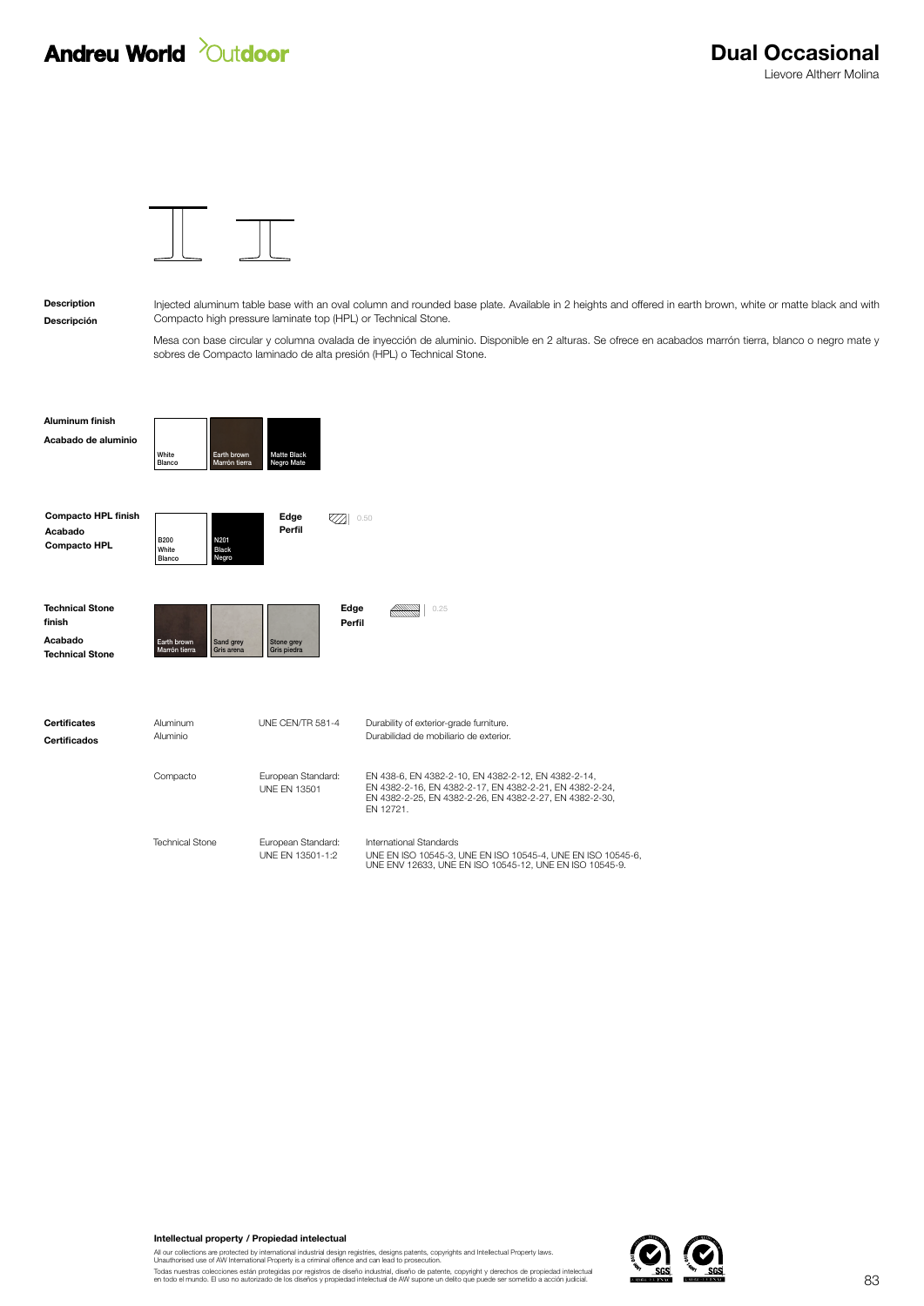## **Andreu World** *Quidoor*



Descripción Description

Injected aluminum table base with an oval column and rounded base plate. Available in 2 heights and offered in earth brown, white or matte black and with Compacto high pressure laminate top (HPL) or Technical Stone.

Mesa con base circular y columna ovalada de inyección de aluminio. Disponible en 2 alturas. Se ofrece en acabados marrón tierra, blanco o negro mate y sobres de Compacto laminado de alta presión (HPL) o Technical Stone.

Acabado de aluminio Aluminum finish

Compacto HPL finish

| White  | Earth brown   | <b>Matte Black</b> |
|--------|---------------|--------------------|
| Blanco | Marrón tierra | <b>Negro Mate</b>  |

٦E

| Acabado<br><b>Compacto HPL</b> | <b>B200</b><br>White<br>Blanco | N201<br><b>Black</b><br>Negro |
|--------------------------------|--------------------------------|-------------------------------|
| <b>Technical Stone</b>         |                                |                               |

| <b>Technical Stone</b><br>finish |                                                         | Edge<br>Perfil                            | 0.25                                                                                                                                                                                   |
|----------------------------------|---------------------------------------------------------|-------------------------------------------|----------------------------------------------------------------------------------------------------------------------------------------------------------------------------------------|
| Acabado                          | Sand grey<br>Earth brown<br>Marrón tierra<br>Gris arena | Stone arev<br>Gris piedra                 |                                                                                                                                                                                        |
| <b>Technical Stone</b>           |                                                         |                                           |                                                                                                                                                                                        |
| <b>Certificates</b>              | Aluminum                                                | UNF CFN/TR 581-4                          | Durability of exterior-grade furniture.                                                                                                                                                |
| <b>Certificados</b>              | Aluminio                                                |                                           | Durabilidad de mobiliario de exterior.                                                                                                                                                 |
|                                  | Compacto                                                | European Standard:<br><b>UNF FN 13501</b> | EN 438-6, EN 4382-2-10, EN 4382-2-12, EN 4382-2-14,<br>EN 4382-2-16, EN 4382-2-17, EN 4382-2-21, EN 4382-2-24,<br>EN 4382-2-25, EN 4382-2-26, EN 4382-2-27, EN 4382-2-30,<br>FN 12721. |
|                                  | <b>Technical Stone</b>                                  | European Standard:                        | International Standards                                                                                                                                                                |
|                                  |                                                         | UNF FN 13501-1:2                          | UNE EN ISO 10545-3, UNE EN ISO 10545-4, UNE EN ISO 10545-6,<br>UNE ENV 12633, UNE EN ISO 10545-12, UNE EN ISO 10545-9.                                                                 |

0.50

Perfil

Edge

Intellectual property / Propiedad intelectual

All our collections are protected by international industrial design registries, designs patents, copyrights and Intellectual Property laws.<br>Unauthorised use of AW International Property is a criminal offence and can lead

Todas nuestras colecciones están protegidas por registros de diseño industrial, diseño de patente, copyright y derechos de propiedad intelectual<br>en todo el mundo. El uso no autorizado de los diseños y propiedad intelectual